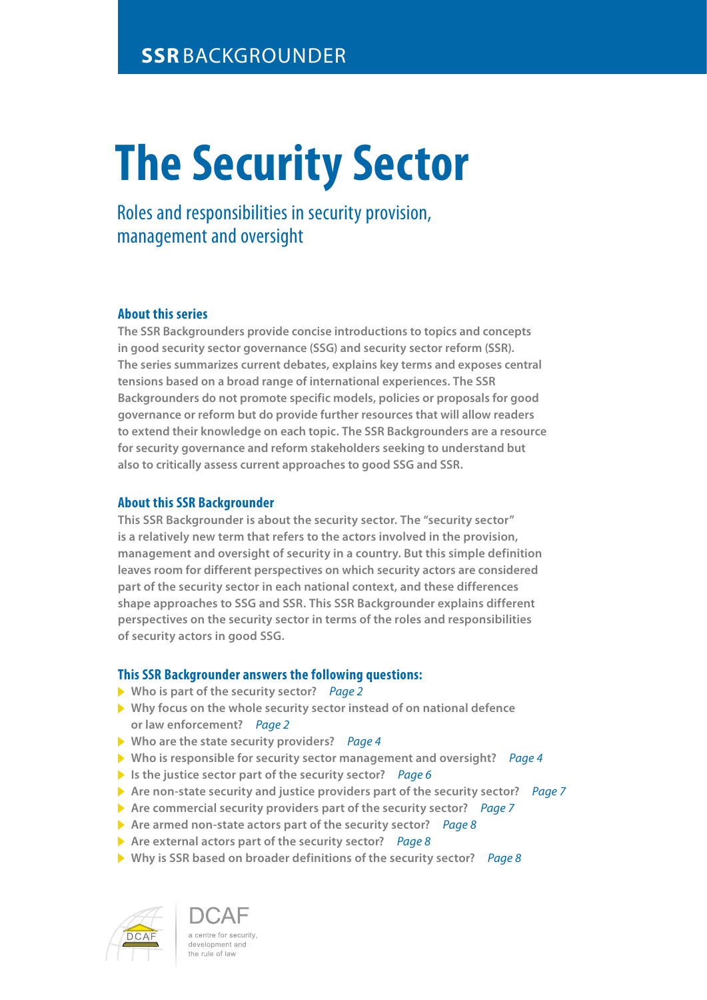# **The Security Sector**

Roles and responsibilities in security provision, management and oversight

## **About this series**

**The SSR Backgrounders provide concise introductions to topics and concepts in good security sector governance (SSG) and security sector reform (SSR). The series summarizes current debates, explains key terms and exposes central tensions based on a broad range of international experiences. The SSR Backgrounders do not promote specific models, policies or proposals for good governance or reform but do provide further resources that will allow readers to extend their knowledge on each topic. The SSR Backgrounders are a resource for security governance and reform stakeholders seeking to understand but also to critically assess current approaches to good SSG and SSR.**

### **About this SSR Backgrounder**

**This SSR Backgrounder is about the security sector. The "security sector" is a relatively new term that refers to the actors involved in the provision, management and oversight of security in a country. But this simple definition leaves room for different perspectives on which security actors are considered part of the security sector in each national context, and these differences shape approaches to SSG and SSR. This SSR Backgrounder explains different perspectives on the security sector in terms of the roles and responsibilities of security actors in good SSG.** 

### **This SSR Backgrounder answers the following questions:**

- **Who is part of the security sector?** *Page 2*
- **Why focus on the whole security sector instead of on national defence or law enforcement?** *Page 2*
- **Who are the state security providers?** *Page 4*
- **Who is responsible for security sector management and oversight?** *Page 4*
- **Is the justice sector part of the security sector?** *Page 6*
- **Are non-state security and justice providers part of the security sector?** *Page 7*
- **Are commercial security providers part of the security sector?** *Page 7*
- **Are armed non-state actors part of the security sector?** *Page 8*
- **Are external actors part of the security sector?** *Page 8*
- **Why is SSR based on broader definitions of the security sector?** *Page 8*



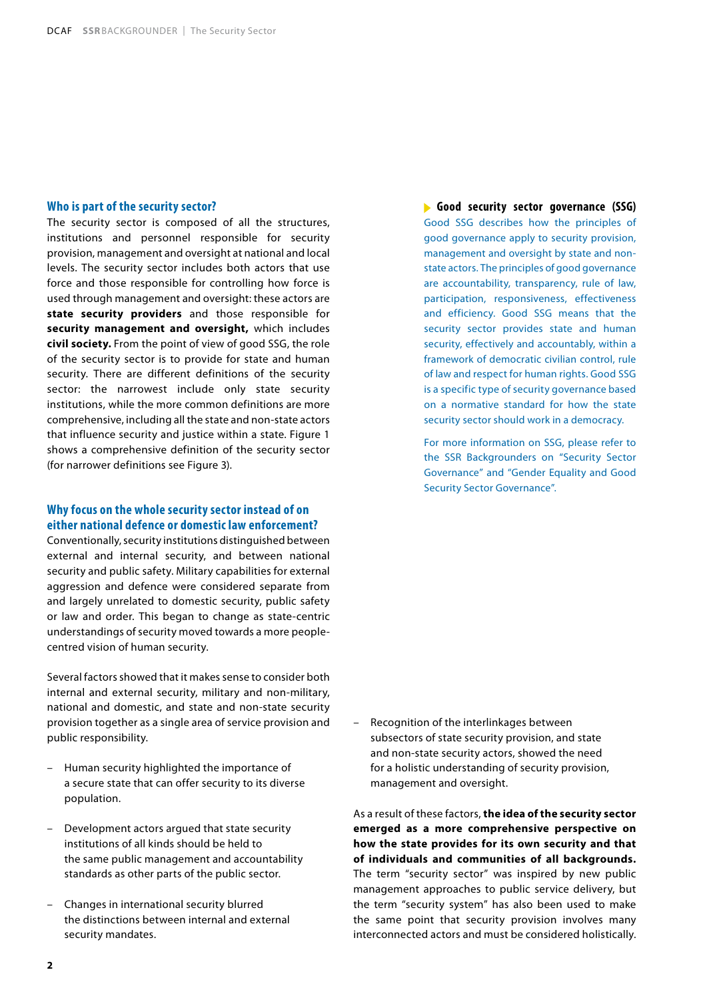#### **Who is part of the security sector?**

The security sector is composed of all the structures, institutions and personnel responsible for security provision, management and oversight at national and local levels. The security sector includes both actors that use force and those responsible for controlling how force is used through management and oversight: these actors are **state security providers** and those responsible for **security management and oversight,** which includes **civil society.** From the point of view of good SSG, the role of the security sector is to provide for state and human security. There are different definitions of the security sector: the narrowest include only state security institutions, while the more common definitions are more comprehensive, including all the state and non-state actors that influence security and justice within a state. Figure 1 shows a comprehensive definition of the security sector (for narrower definitions see Figure 3).

### **Why focus on the whole security sector instead of on either national defence or domestic law enforcement?**

Conventionally, security institutions distinguished between external and internal security, and between national security and public safety. Military capabilities for external aggression and defence were considered separate from and largely unrelated to domestic security, public safety or law and order. This began to change as state-centric understandings of security moved towards a more peoplecentred vision of human security.

Several factors showed that it makes sense to consider both internal and external security, military and non-military, national and domestic, and state and non-state security provision together as a single area of service provision and public responsibility.

- Human security highlighted the importance of a secure state that can offer security to its diverse population.
- Development actors argued that state security institutions of all kinds should be held to the same public management and accountability standards as other parts of the public sector.
- Changes in international security blurred the distinctions between internal and external security mandates.

**Good security sector governance (SSG)** Good SSG describes how the principles of good governance apply to security provision, management and oversight by state and nonstate actors. The principles of good governance are accountability, transparency, rule of law, participation, responsiveness, effectiveness and efficiency. Good SSG means that the security sector provides state and human security, effectively and accountably, within a framework of democratic civilian control, rule of law and respect for human rights. Good SSG is a specific type of security governance based on a normative standard for how the state security sector should work in a democracy.

For more information on SSG, please refer to the SSR Backgrounders on "Security Sector Governance" and "Gender Equality and Good Security Sector Governance".

– Recognition of the interlinkages between subsectors of state security provision, and state and non-state security actors, showed the need for a holistic understanding of security provision, management and oversight.

As a result of these factors, **the idea of the security sector emerged as a more comprehensive perspective on how the state provides for its own security and that of individuals and communities of all backgrounds.** The term "security sector" was inspired by new public management approaches to public service delivery, but the term "security system" has also been used to make the same point that security provision involves many interconnected actors and must be considered holistically.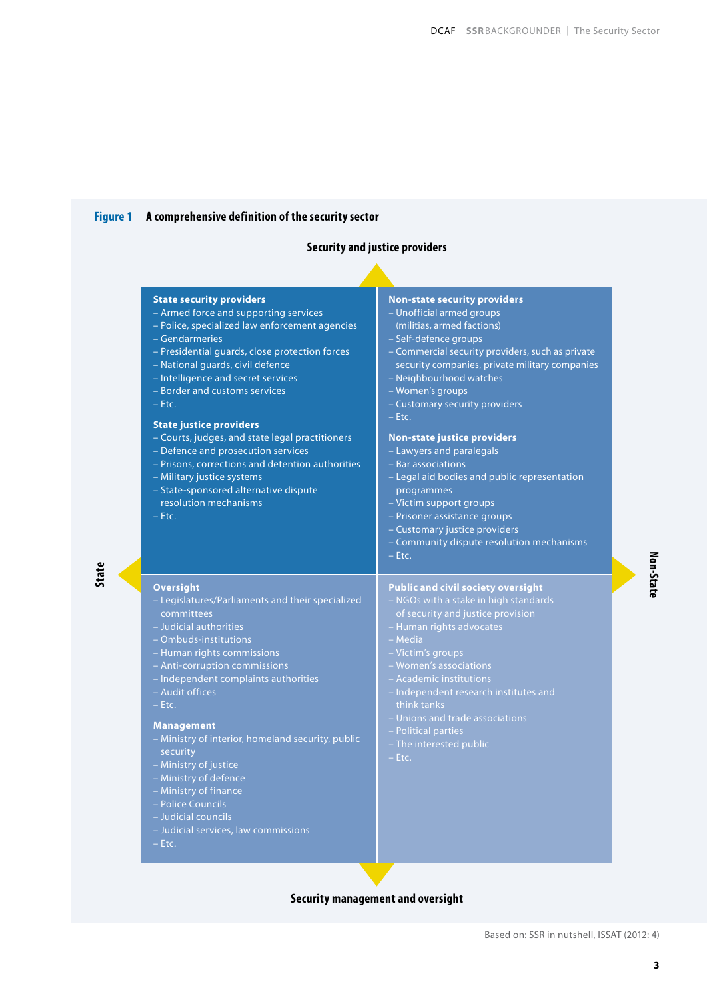# **Figure 1 A comprehensive definition of the security sector**

**State**

# **Security and justice providers**

| - Armed force and supporting services<br>- Police, specialized law enforcement agencies<br>- Gendarmeries<br>- Presidential guards, close protection forces<br>- National quards, civil defence<br>- Intelligence and secret services<br>- Border and customs services<br>$-$ Etc.<br><b>State justice providers</b><br>- Courts, judges, and state legal practitioners<br>- Defence and prosecution services<br>- Prisons, corrections and detention authorities<br>- Military justice systems<br>- State-sponsored alternative dispute<br>resolution mechanisms<br>$-$ Etc. | - Unofficial armed groups<br>(militias, armed factions)<br>- Self-defence groups<br>- Commercial security providers, such as private<br>security companies, private military companies<br>- Neighbourhood watches<br>- Women's groups<br>- Customary security providers<br>$-$ Etc.<br><b>Non-state justice providers</b><br>- Lawyers and paralegals<br>- Bar associations<br>- Legal aid bodies and public representation<br>programmes<br>- Victim support groups<br>- Prisoner assistance groups<br>- Customary justice providers<br>- Community dispute resolution mechanisms<br>$-$ Etc. |
|-------------------------------------------------------------------------------------------------------------------------------------------------------------------------------------------------------------------------------------------------------------------------------------------------------------------------------------------------------------------------------------------------------------------------------------------------------------------------------------------------------------------------------------------------------------------------------|------------------------------------------------------------------------------------------------------------------------------------------------------------------------------------------------------------------------------------------------------------------------------------------------------------------------------------------------------------------------------------------------------------------------------------------------------------------------------------------------------------------------------------------------------------------------------------------------|
| <b>Oversight</b><br>- Legislatures/Parliaments and their specialized<br>committees<br>- Judicial authorities<br>- Ombuds-institutions<br>- Human rights commissions<br>- Anti-corruption commissions<br>- Independent complaints authorities<br>- Audit offices<br>$- Etc.$<br><b>Management</b><br>- Ministry of interior, homeland security, public<br>security<br>- Ministry of justice<br>- Ministry of defence<br>- Ministry of finance<br>- Police Councils<br>- Judicial councils<br>- Judicial services, law commissions<br>$- Etc.$                                  | <b>Public and civil society oversight</b><br>- NGOs with a stake in high standards<br>of security and justice provision<br>- Human rights advocates<br>- Media<br>- Victim's groups<br>- Women's associations<br>- Academic institutions<br>- Independent research institutes and<br>think tanks<br>- Unions and trade associations<br>- Political parties<br>- The interested public<br>$-$ Etc.                                                                                                                                                                                              |

# **Security management and oversight**

**3**

**Non-State**

Non-State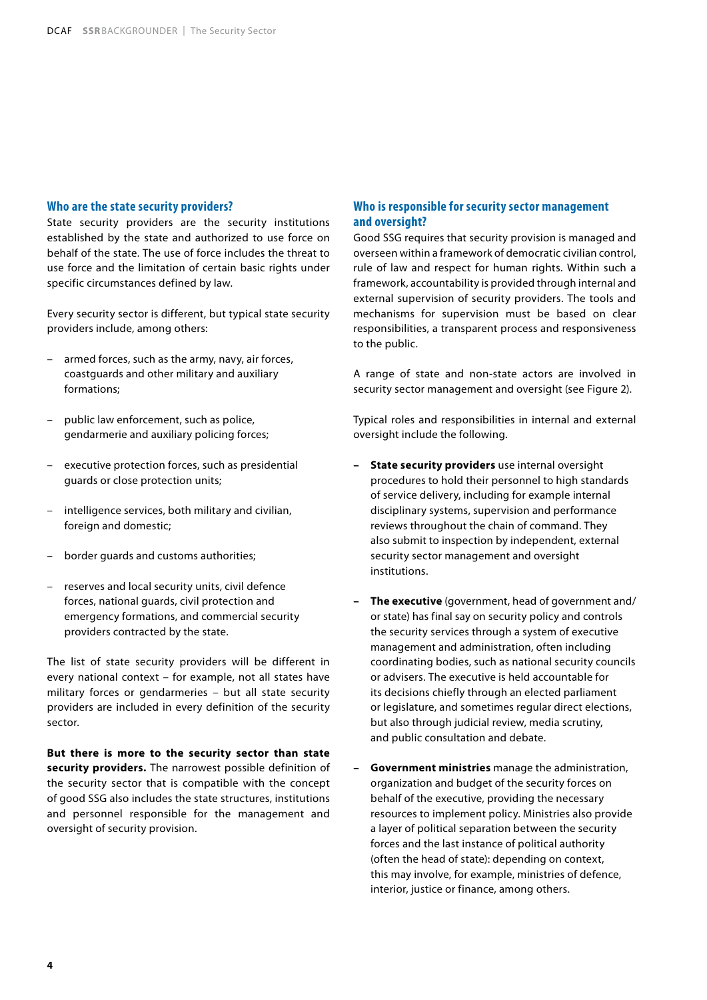#### **Who are the state security providers?**

State security providers are the security institutions established by the state and authorized to use force on behalf of the state. The use of force includes the threat to use force and the limitation of certain basic rights under specific circumstances defined by law.

Every security sector is different, but typical state security providers include, among others:

- armed forces, such as the army, navy, air forces, coastguards and other military and auxiliary formations;
- public law enforcement, such as police, gendarmerie and auxiliary policing forces;
- executive protection forces, such as presidential guards or close protection units;
- intelligence services, both military and civilian, foreign and domestic;
- border guards and customs authorities;
- reserves and local security units, civil defence forces, national guards, civil protection and emergency formations, and commercial security providers contracted by the state.

The list of state security providers will be different in every national context – for example, not all states have military forces or gendarmeries – but all state security providers are included in every definition of the security sector.

**But there is more to the security sector than state security providers.** The narrowest possible definition of the security sector that is compatible with the concept of good SSG also includes the state structures, institutions and personnel responsible for the management and oversight of security provision.

#### **Who is responsible for security sector management and oversight?**

Good SSG requires that security provision is managed and overseen within a framework of democratic civilian control, rule of law and respect for human rights. Within such a framework, accountability is provided through internal and external supervision of security providers. The tools and mechanisms for supervision must be based on clear responsibilities, a transparent process and responsiveness to the public.

A range of state and non-state actors are involved in security sector management and oversight (see Figure 2).

Typical roles and responsibilities in internal and external oversight include the following.

- **– State security providers** use internal oversight procedures to hold their personnel to high standards of service delivery, including for example internal disciplinary systems, supervision and performance reviews throughout the chain of command. They also submit to inspection by independent, external security sector management and oversight institutions.
- **– The executive** (government, head of government and/ or state) has final say on security policy and controls the security services through a system of executive management and administration, often including coordinating bodies, such as national security councils or advisers. The executive is held accountable for its decisions chiefly through an elected parliament or legislature, and sometimes regular direct elections, but also through judicial review, media scrutiny, and public consultation and debate.
- **– Government ministries** manage the administration, organization and budget of the security forces on behalf of the executive, providing the necessary resources to implement policy. Ministries also provide a layer of political separation between the security forces and the last instance of political authority (often the head of state): depending on context, this may involve, for example, ministries of defence, interior, justice or finance, among others.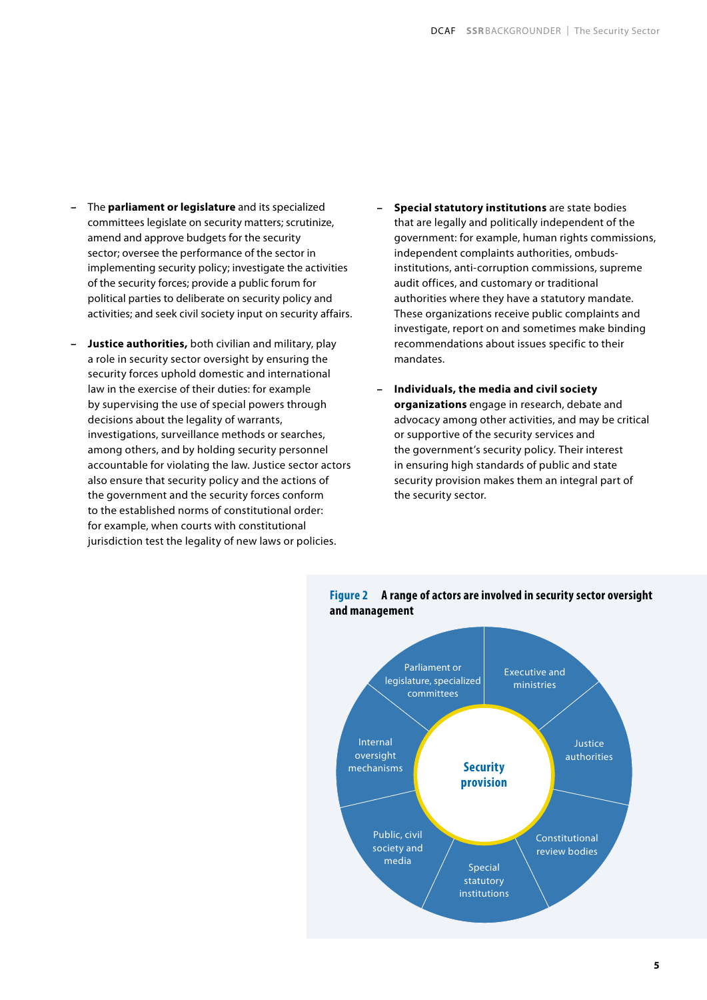- **–** The **parliament or legislature** and its specialized committees legislate on security matters; scrutinize, amend and approve budgets for the security sector; oversee the performance of the sector in implementing security policy; investigate the activities of the security forces; provide a public forum for political parties to deliberate on security policy and activities; and seek civil society input on security affairs.
- **– Justice authorities,** both civilian and military, play a role in security sector oversight by ensuring the security forces uphold domestic and international law in the exercise of their duties: for example by supervising the use of special powers through decisions about the legality of warrants, investigations, surveillance methods or searches, among others, and by holding security personnel accountable for violating the law. Justice sector actors also ensure that security policy and the actions of the government and the security forces conform to the established norms of constitutional order: for example, when courts with constitutional jurisdiction test the legality of new laws or policies.
- **– Special statutory institutions** are state bodies that are legally and politically independent of the government: for example, human rights commissions, independent complaints authorities, ombudsinstitutions, anti-corruption commissions, supreme audit offices, and customary or traditional authorities where they have a statutory mandate. These organizations receive public complaints and investigate, report on and sometimes make binding recommendations about issues specific to their mandates.
- **– Individuals, the media and civil society organizations** engage in research, debate and advocacy among other activities, and may be critical or supportive of the security services and the government's security policy. Their interest in ensuring high standards of public and state security provision makes them an integral part of the security sector.



## **Figure 2 A range of actors are involved in security sector oversight and management**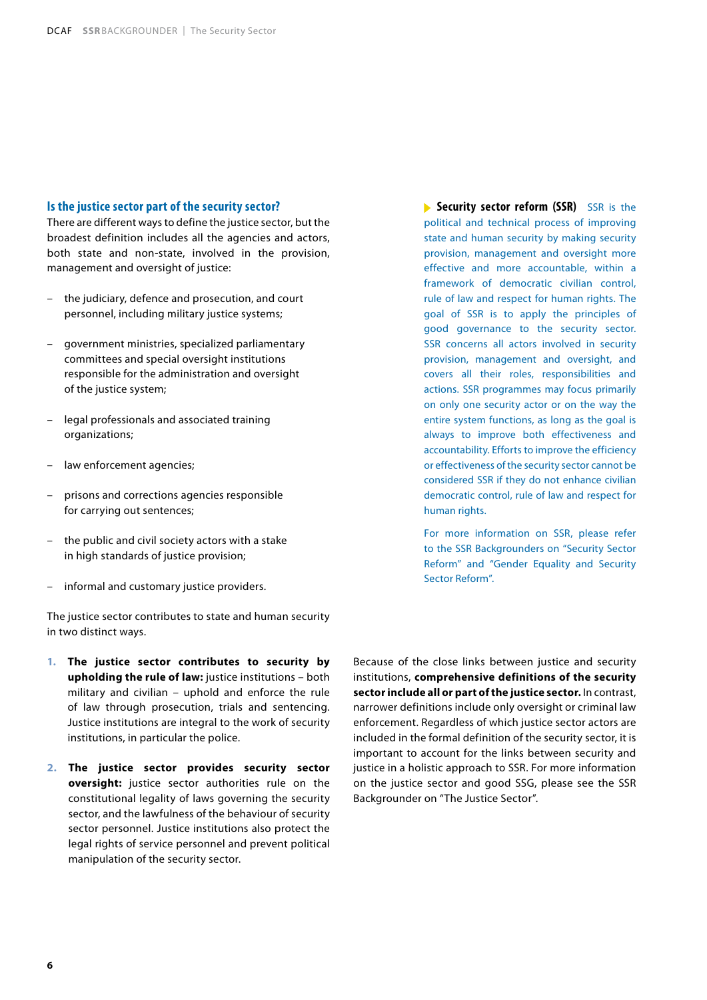## **Is the justice sector part of the security sector?**

There are different ways to define the justice sector, but the broadest definition includes all the agencies and actors, both state and non-state, involved in the provision, management and oversight of justice:

- the judiciary, defence and prosecution, and court personnel, including military justice systems;
- government ministries, specialized parliamentary committees and special oversight institutions responsible for the administration and oversight of the justice system;
- legal professionals and associated training organizations;
- law enforcement agencies;
- prisons and corrections agencies responsible for carrying out sentences;
- the public and civil society actors with a stake in high standards of justice provision;
- informal and customary justice providers.

The justice sector contributes to state and human security in two distinct ways.

- **1. The justice sector contributes to security by upholding the rule of law:** justice institutions – both military and civilian – uphold and enforce the rule of law through prosecution, trials and sentencing. Justice institutions are integral to the work of security institutions, in particular the police.
- **2. The justice sector provides security sector oversight:** justice sector authorities rule on the constitutional legality of laws governing the security sector, and the lawfulness of the behaviour of security sector personnel. Justice institutions also protect the legal rights of service personnel and prevent political manipulation of the security sector.

**Security sector reform (SSR)** SSR is the political and technical process of improving state and human security by making security provision, management and oversight more effective and more accountable, within a framework of democratic civilian control, rule of law and respect for human rights. The goal of SSR is to apply the principles of good governance to the security sector. SSR concerns all actors involved in security provision, management and oversight, and covers all their roles, responsibilities and actions. SSR programmes may focus primarily on only one security actor or on the way the entire system functions, as long as the goal is always to improve both effectiveness and accountability. Efforts to improve the efficiency or effectiveness of the security sector cannot be considered SSR if they do not enhance civilian democratic control, rule of law and respect for human rights.

For more information on SSR, please refer to the SSR Backgrounders on "Security Sector Reform" and "Gender Equality and Security Sector Reform".

Because of the close links between justice and security institutions, **comprehensive definitions of the security sector include all or part of the justice sector.** In contrast, narrower definitions include only oversight or criminal law enforcement. Regardless of which justice sector actors are included in the formal definition of the security sector, it is important to account for the links between security and justice in a holistic approach to SSR. For more information on the justice sector and good SSG, please see the SSR Backgrounder on "The Justice Sector".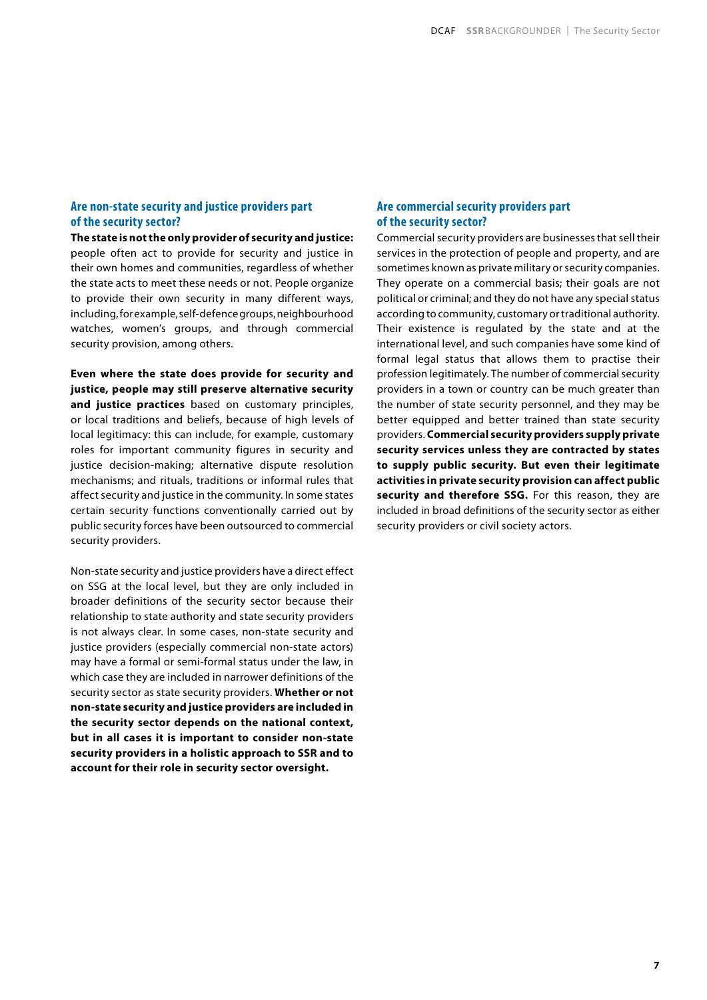#### **Are non-state security and justice providers part of the security sector?**

**The state is not the only provider of security and justice:**  people often act to provide for security and justice in their own homes and communities, regardless of whether the state acts to meet these needs or not. People organize to provide their own security in many different ways, including, for example, self-defence groups, neighbourhood watches, women's groups, and through commercial security provision, among others.

**Even where the state does provide for security and justice, people may still preserve alternative security and justice practices** based on customary principles, or local traditions and beliefs, because of high levels of local legitimacy: this can include, for example, customary roles for important community figures in security and justice decision-making; alternative dispute resolution mechanisms; and rituals, traditions or informal rules that affect security and justice in the community. In some states certain security functions conventionally carried out by public security forces have been outsourced to commercial security providers.

Non-state security and justice providers have a direct effect on SSG at the local level, but they are only included in broader definitions of the security sector because their relationship to state authority and state security providers is not always clear. In some cases, non-state security and justice providers (especially commercial non-state actors) may have a formal or semi-formal status under the law, in which case they are included in narrower definitions of the security sector as state security providers. **Whether or not non-state security and justice providers are included in the security sector depends on the national context, but in all cases it is important to consider non-state security providers in a holistic approach to SSR and to account for their role in security sector oversight.**

#### **Are commercial security providers part of the security sector?**

Commercial security providers are businesses that sell their services in the protection of people and property, and are sometimes known as private military or security companies. They operate on a commercial basis; their goals are not political or criminal; and they do not have any special status according to community, customary or traditional authority. Their existence is regulated by the state and at the international level, and such companies have some kind of formal legal status that allows them to practise their profession legitimately. The number of commercial security providers in a town or country can be much greater than the number of state security personnel, and they may be better equipped and better trained than state security providers. **Commercial security providers supply private security services unless they are contracted by states to supply public security. But even their legitimate activities in private security provision can affect public**  security and therefore SSG. For this reason, they are included in broad definitions of the security sector as either security providers or civil society actors.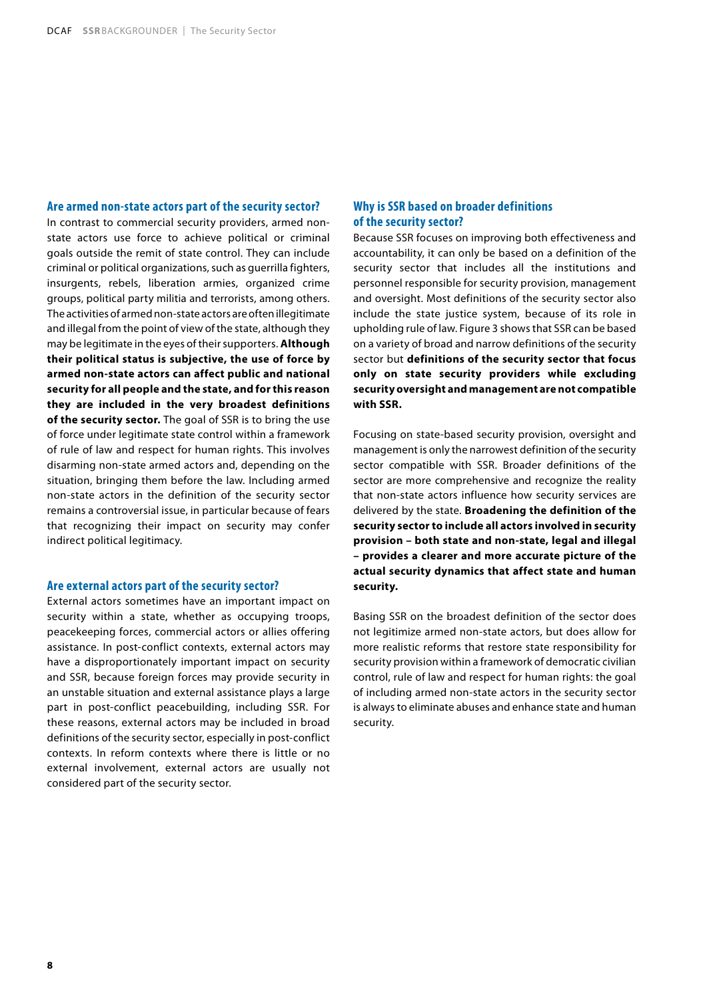#### **Are armed non-state actors part of the security sector?**

In contrast to commercial security providers, armed nonstate actors use force to achieve political or criminal goals outside the remit of state control. They can include criminal or political organizations, such as guerrilla fighters, insurgents, rebels, liberation armies, organized crime groups, political party militia and terrorists, among others. The activities of armed non-state actors are often illegitimate and illegal from the point of view of the state, although they may be legitimate in the eyes of their supporters. **Although their political status is subjective, the use of force by armed non-state actors can affect public and national security for all people and the state, and for this reason they are included in the very broadest definitions of the security sector.** The goal of SSR is to bring the use of force under legitimate state control within a framework of rule of law and respect for human rights. This involves disarming non-state armed actors and, depending on the situation, bringing them before the law. Including armed non-state actors in the definition of the security sector remains a controversial issue, in particular because of fears that recognizing their impact on security may confer indirect political legitimacy.

#### **Are external actors part of the security sector?**

External actors sometimes have an important impact on security within a state, whether as occupying troops, peacekeeping forces, commercial actors or allies offering assistance. In post-conflict contexts, external actors may have a disproportionately important impact on security and SSR, because foreign forces may provide security in an unstable situation and external assistance plays a large part in post-conflict peacebuilding, including SSR. For these reasons, external actors may be included in broad definitions of the security sector, especially in post-conflict contexts. In reform contexts where there is little or no external involvement, external actors are usually not considered part of the security sector.

#### **Why is SSR based on broader definitions of the security sector?**

Because SSR focuses on improving both effectiveness and accountability, it can only be based on a definition of the security sector that includes all the institutions and personnel responsible for security provision, management and oversight. Most definitions of the security sector also include the state justice system, because of its role in upholding rule of law. Figure 3 shows that SSR can be based on a variety of broad and narrow definitions of the security sector but **definitions of the security sector that focus only on state security providers while excluding security oversight and management are not compatible with SSR.**

Focusing on state-based security provision, oversight and management is only the narrowest definition of the security sector compatible with SSR. Broader definitions of the sector are more comprehensive and recognize the reality that non-state actors influence how security services are delivered by the state. **Broadening the definition of the security sector to include all actors involved in security provision – both state and non-state, legal and illegal – provides a clearer and more accurate picture of the actual security dynamics that affect state and human security.**

Basing SSR on the broadest definition of the sector does not legitimize armed non-state actors, but does allow for more realistic reforms that restore state responsibility for security provision within a framework of democratic civilian control, rule of law and respect for human rights: the goal of including armed non-state actors in the security sector is always to eliminate abuses and enhance state and human security.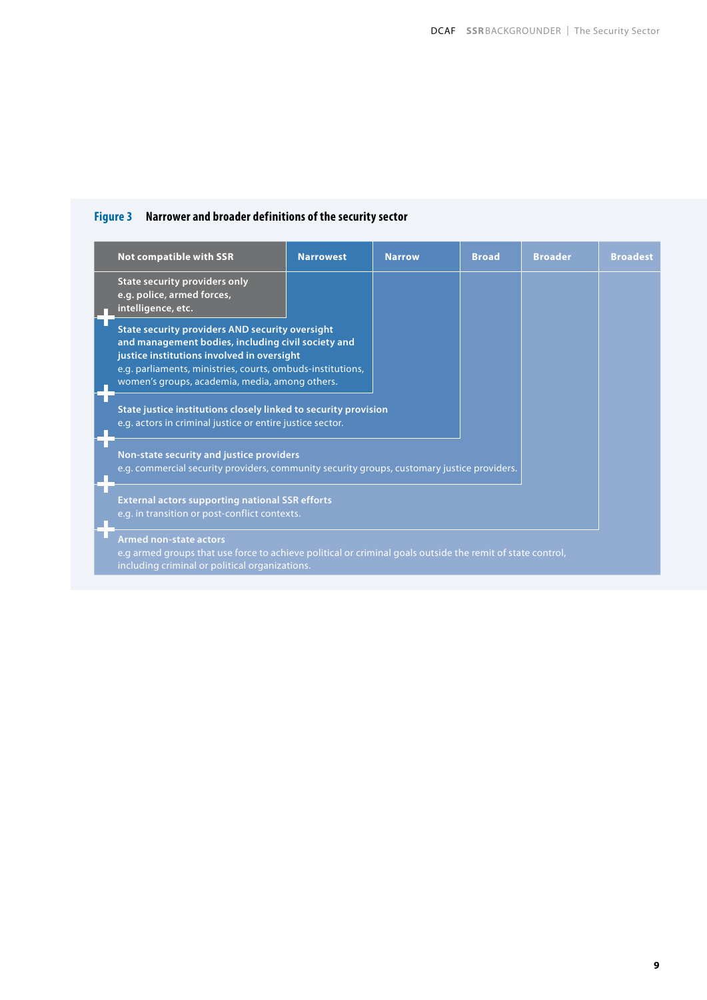# **Figure 3 Narrower and broader definitions of the security sector**

|                                                                                                         | <b>Not compatible with SSR</b>                                                                                                                                                                                                                                             | <b>Narrowest</b> | <b>Narrow</b> | <b>Broad</b> | <b>Broader</b> | <b>Broadest</b> |  |
|---------------------------------------------------------------------------------------------------------|----------------------------------------------------------------------------------------------------------------------------------------------------------------------------------------------------------------------------------------------------------------------------|------------------|---------------|--------------|----------------|-----------------|--|
|                                                                                                         | <b>State security providers only</b><br>e.g. police, armed forces,<br>intelligence, etc.                                                                                                                                                                                   |                  |               |              |                |                 |  |
|                                                                                                         | <b>State security providers AND security oversight</b><br>and management bodies, including civil society and<br>justice institutions involved in oversight<br>e.g. parliaments, ministries, courts, ombuds-institutions,<br>women's groups, academia, media, among others. |                  |               |              |                |                 |  |
|                                                                                                         | State justice institutions closely linked to security provision<br>e.g. actors in criminal justice or entire justice sector.                                                                                                                                               |                  |               |              |                |                 |  |
|                                                                                                         | Non-state security and justice providers<br>e.g. commercial security providers, community security groups, customary justice providers.                                                                                                                                    |                  |               |              |                |                 |  |
| <b>External actors supporting national SSR efforts</b><br>e.g. in transition or post-conflict contexts. |                                                                                                                                                                                                                                                                            |                  |               |              |                |                 |  |
|                                                                                                         | <b>Armed non-state actors</b><br>e.g armed groups that use force to achieve political or criminal goals outside the remit of state control,<br>ingluding cuiminal or notitical organizations.                                                                              |                  |               |              |                |                 |  |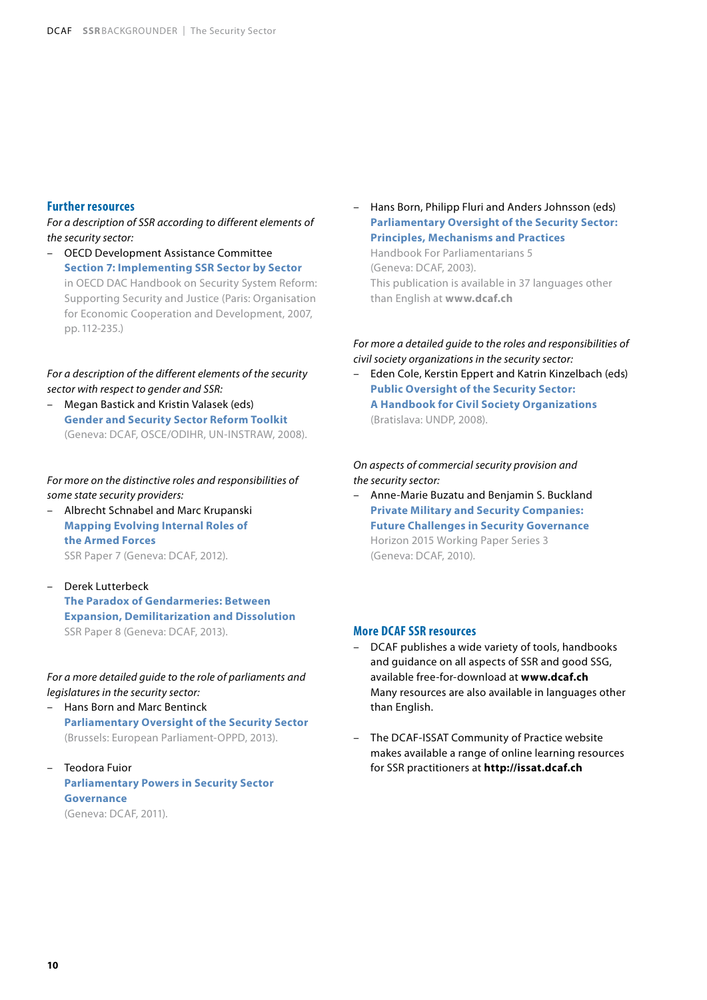#### **Further resources**

*For a description of SSR according to different elements of the security sector:*

– OECD Development Assistance Committee **Section 7: Implementing SSR Sector by Sector** in OECD DAC Handbook on Security System Reform: Supporting Security and Justice (Paris: Organisation for Economic Cooperation and Development, 2007, pp. 112-235.)

*For a description of the different elements of the security sector with respect to gender and SSR:*

– Megan Bastick and Kristin Valasek (eds) **Gender and Security Sector Reform Toolkit** (Geneva: DCAF, OSCE/ODIHR, UN-INSTRAW, 2008).

*For more on the distinctive roles and responsibilities of some state security providers:*

- Albrecht Schnabel and Marc Krupanski **Mapping Evolving Internal Roles of the Armed Forces** SSR Paper 7 (Geneva: DCAF, 2012).
- Derek Lutterbeck **The Paradox of Gendarmeries: Between Expansion, Demilitarization and Dissolution** SSR Paper 8 (Geneva: DCAF, 2013).

*For a more detailed guide to the role of parliaments and legislatures in the security sector:*

- Hans Born and Marc Bentinck **Parliamentary Oversight of the Security Sector**  (Brussels: European Parliament-OPPD, 2013).
- Teodora Fuior **Parliamentary Powers in Security Sector Governance** (Geneva: DCAF, 2011).

– Hans Born, Philipp Fluri and Anders Johnsson (eds) **Parliamentary Oversight of the Security Sector: Principles, Mechanisms and Practices**

Handbook For Parliamentarians 5 (Geneva: DCAF, 2003). This publication is available in 37 languages other than English at **www.dcaf.ch**

## *For more a detailed guide to the roles and responsibilities of civil society organizations in the security sector:*

– Eden Cole, Kerstin Eppert and Katrin Kinzelbach (eds) **Public Oversight of the Security Sector: A Handbook for Civil Society Organizations**  (Bratislava: UNDP, 2008).

*On aspects of commercial security provision and the security sector:*

– Anne-Marie Buzatu and Benjamin S. Buckland **Private Military and Security Companies: Future Challenges in Security Governance** Horizon 2015 Working Paper Series 3 (Geneva: DCAF, 2010).

#### **More DCAF SSR resources**

- DCAF publishes a wide variety of tools, handbooks and guidance on all aspects of SSR and good SSG, available free-for-download at **www.dcaf.ch** Many resources are also available in languages other than English.
- The DCAF-ISSAT Community of Practice website makes available a range of online learning resources for SSR practitioners at **http://issat.dcaf.ch**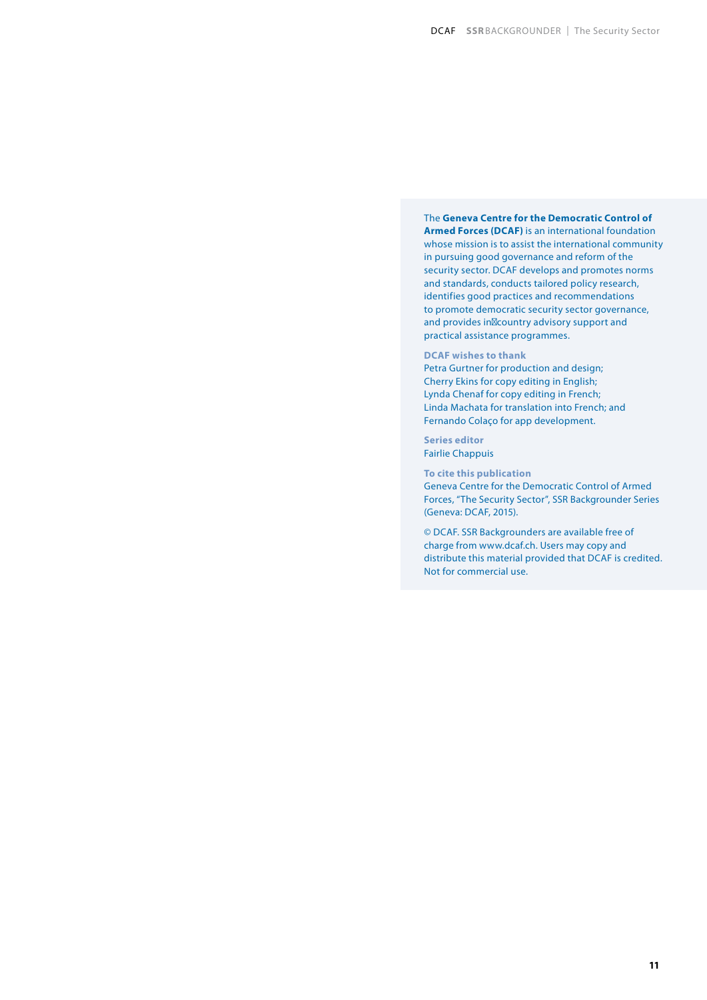#### The **Geneva Centre for the Democratic Control of Armed Forces (DCAF)** is an international foundation whose mission is to assist the international community in pursuing good governance and reform of the security sector. DCAF develops and promotes norms and standards, conducts tailored policy research, identifies good practices and recommendations to promote democratic security sector governance, and provides in country advisory support and practical assistance programmes.

#### **DCAF wishes to thank**

Petra Gurtner for production and design; Cherry Ekins for copy editing in English; Lynda Chenaf for copy editing in French; Linda Machata for translation into French; and Fernando Colaço for app development.

**Series editor** Fairlie Chappuis

**To cite this publication**

Geneva Centre for the Democratic Control of Armed Forces, "The Security Sector", SSR Backgrounder Series (Geneva: DCAF, 2015).

© DCAF. SSR Backgrounders are available free of charge from www.dcaf.ch. Users may copy and distribute this material provided that DCAF is credited. Not for commercial use.